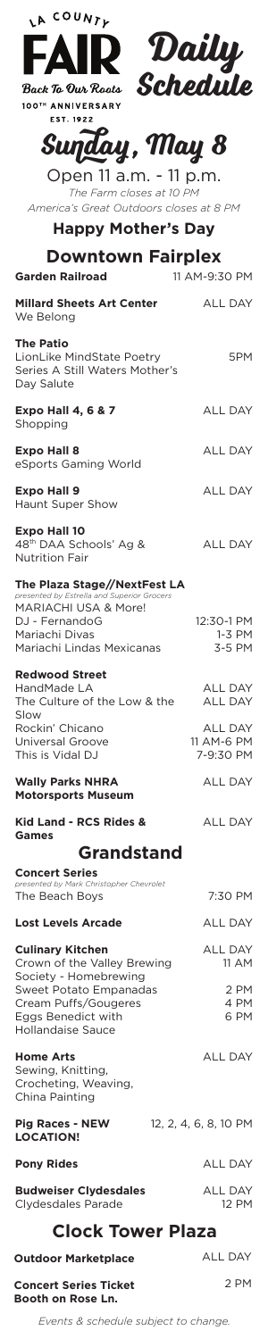

**EST. 1922** 



## **Sunday, May 8**

Open 11 a.m. - 11 p.m. *The Farm closes at 10 PM America's Great Outdoors closes at 8 PM*

**Happy Mother's Day**

| <b>Downtown Fairplex</b><br><b>Garden Railroad</b><br>11 AM-9:30 PM                                                                                                                 |                                                                               |
|-------------------------------------------------------------------------------------------------------------------------------------------------------------------------------------|-------------------------------------------------------------------------------|
| <b>Millard Sheets Art Center</b>                                                                                                                                                    | <b>ALL DAY</b>                                                                |
| We Belong<br><b>The Patio</b><br>LionLike MindState Poetry<br>Series A Still Waters Mother's<br>Day Salute                                                                          | 5PM                                                                           |
| <b>Expo Hall 4, 6 &amp; 7</b><br>Shopping                                                                                                                                           | <b>ALL DAY</b>                                                                |
| <b>Expo Hall 8</b><br>eSports Gaming World                                                                                                                                          | <b>ALL DAY</b>                                                                |
| <b>Expo Hall 9</b><br>Haunt Super Show                                                                                                                                              | <b>ALL DAY</b>                                                                |
| <b>Expo Hall 10</b><br>48 <sup>th</sup> DAA Schools' Ag &<br><b>Nutrition Fair</b>                                                                                                  | <b>ALL DAY</b>                                                                |
| The Plaza Stage//NextFest LA<br>presented by Estrella and Superior Grocers<br>MARIACHI USA & More!<br>DJ - FernandoG<br>Mariachi Divas<br>Mariachi Lindas Mexicanas                 | 12:30-1 PM<br>$1-3$ PM<br>3-5 PM                                              |
| <b>Redwood Street</b><br>HandMade LA<br>The Culture of the Low & the<br>Slow<br>Rockin' Chicano<br>Universal Groove<br>This is Vidal DJ                                             | <b>ALL DAY</b><br><b>ALL DAY</b><br><b>ALL DAY</b><br>11 AM-6 PM<br>7-9:30 PM |
| <b>Wally Parks NHRA</b><br><b>Motorsports Museum</b>                                                                                                                                | <b>ALL DAY</b>                                                                |
| Kid Land - RCS Rides &<br><b>Games</b>                                                                                                                                              | <b>ALL DAY</b>                                                                |
| Grandstand                                                                                                                                                                          |                                                                               |
| <b>Concert Series</b><br>presented by Mark Christopher Chevrolet                                                                                                                    |                                                                               |
| The Beach Boys                                                                                                                                                                      | 7:30 PM                                                                       |
| <b>Lost Levels Arcade</b>                                                                                                                                                           | <b>ALL DAY</b>                                                                |
| <b>Culinary Kitchen</b><br>Crown of the Valley Brewing<br>Society - Homebrewing<br>Sweet Potato Empanadas<br>Cream Puffs/Gougeres<br>Eggs Benedict with<br><b>Hollandaise Sauce</b> | <b>ALL DAY</b><br>11 AM                                                       |
|                                                                                                                                                                                     | 2 PM<br>4 PM<br>6 PM                                                          |
| <b>Home Arts</b><br>Sewing, Knitting,<br>Crocheting, Weaving,<br>China Painting                                                                                                     | <b>ALL DAY</b>                                                                |
| <b>Pig Races - NEW</b><br><b>LOCATION!</b>                                                                                                                                          | 12, 2, 4, 6, 8, 10 PM                                                         |
| <b>Pony Rides</b>                                                                                                                                                                   | ALL DAY                                                                       |
| <b>Budweiser Clydesdales</b><br>Clydesdales Parade                                                                                                                                  | <b>ALL DAY</b><br>12 PM                                                       |
| <b>Clock Tower Plaza</b>                                                                                                                                                            |                                                                               |

*Events & schedule subject to change.*

**Outdoor Marketplace**

**Concert Series Ticket Booth on Rose Ln.**

ALL DAY

2 PM